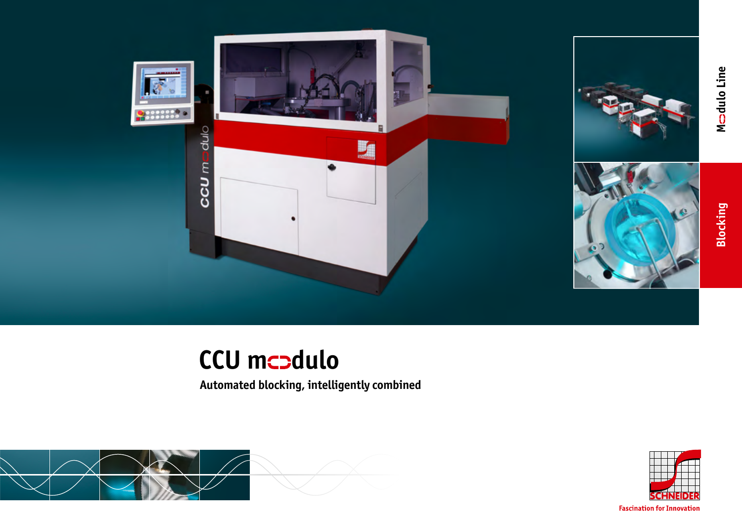



**Blocking**

Mcadulo Line **dulo Line**

# **CCU mcodulo**

**Automated blocking, intelligently combined**





**Fascination for Innovation**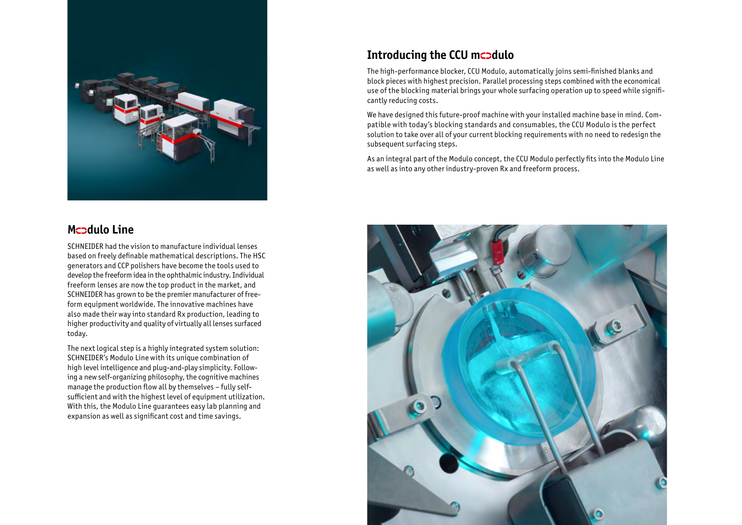

## **Mcodulo Line**

SCHNEIDER had the vision to manufacture individual lenses based on freely definable mathematical descriptions. The HSC generators and CCP polishers have become the tools used to develop the freeform idea in the ophthalmic industry. Individual freeform lenses are now the top product in the market, and SCHNEIDER has grown to be the premier manufacturer of freeform equipment worldwide. The innovative machines have also made their way into standard Rx production, leading to higher productivity and quality of virtually all lenses surfaced today.

The next logical step is a highly integrated system solution: SCHNEIDER's Modulo Line with its unique combination of high level intelligence and plug-and-play simplicity. Following a new self-organizing philosophy, the cognitive machines manage the production flow all by themselves – fully selfsufficient and with the highest level of equipment utilization. With this, the Modulo Line guarantees easy lab planning and expansion as well as significant cost and time savings.

# **Introducing the CCU mcodulo**

The high-performance blocker, CCU Modulo, automatically joins semi-finished blanks and block pieces with highest precision. Parallel processing steps combined with the economical use of the blocking material brings your whole surfacing operation up to speed while significantly reducing costs.

We have designed this future-proof machine with your installed machine base in mind. Compatible with today's blocking standards and consumables, the CCU Modulo is the perfect solution to take over all of your current blocking requirements with no need to redesign the subsequent surfacing steps.

As an integral part of the Modulo concept, the CCU Modulo perfectly fits into the Modulo Line as well as into any other industry-proven Rx and freeform process.

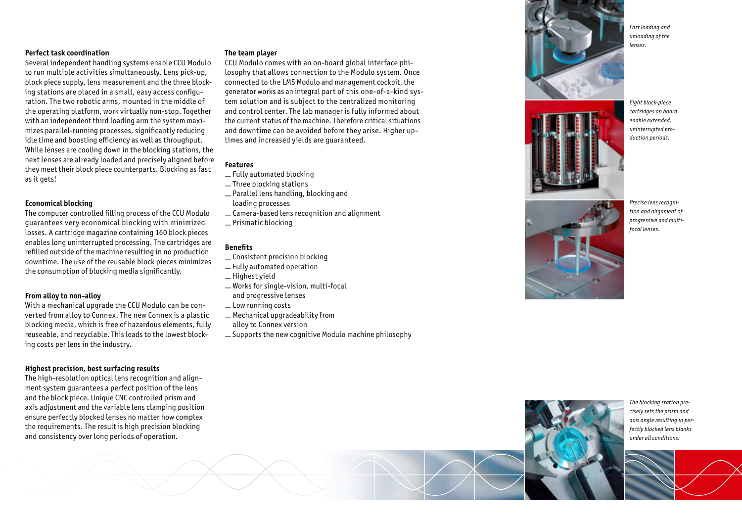#### **Perfect task coordination**

Several independent handling systems enable CCU Modulo to run multiple activities simultaneously. Lens pick-up, block piece supply, lens measurement and the three block ing stations are placed in a small, easy access configu ration. The two robotic arms, mounted in the middle of the operating platform, work virtually non-stop. Together with an independent third loading arm the system maxi mizes parallel-running processes, significantly reducing idle time and boosting efficiency as well as throughput. While lenses are cooling down in the blocking stations, the next lenses are already loaded and precisely aligned before they meet their block piece counterparts. Blocking as fast as it gets!

#### **Economical blocking**

The computer controlled filling process of the CCU Modulo guarantees very economical blocking with minimized losses. A cartridge magazine containing 160 block pieces enables long uninterrupted processing. The cartridges are refilled outside of the machine resulting in no production downtime. The use of the reusable block pieces minimizes the consumption of blocking media significantly.

#### **From alloy to non-alloy**

With a mechanical upgrade the CCU Modulo can be con verted from alloy to Connex. The new Connex is a plastic blocking media, which is free of hazardous elements, fully reuseable, and recyclable. This leads to the lowest block ing costs per lens in the industry.

#### **Highest precision, best surfacing results**

The high-resolution optical lens recognition and alignment system guarantees a perfect position of the lens and the block piece. Unique CNC controlled prism and axis adjustment and the variable lens clamping position ensure perfectly blocked lenses no matter how complex the requirements. The result is high precision blocking and consistency over long periods of operation.

#### **The team player**

CCU Modulo comes with an on-board global interface phi losophy that allows connection to the Modulo system. Once connected to the LMS Modulo and management cockpit, the generator works as an integral part of this one-of-a-kind sys tem solution and is subject to the centralized monitoring and control center. The lab manager is fully informed about the current status of the machine. Therefore critical situations and downtime can be avoided before they arise. Higher up times and increased yields are guaranteed.

### **Features**

- Fully automated blocking
- Three blocking stations
- Parallel lens handling, blocking and
- loading processes
- Camera-based lens recognition and alignment
- Prismatic blocking

#### **Benefits**

- Consistent precision blocking
- Fully automated operation
- Highest yield
- Works for single-vision, multi-focal and progressive lenses
- Low running costs
- Mechanical upgradeability from
- alloy to Connex version
- Supports the new cognitive Modulo machine philosophy





*Eight block-piece cartridges on board enable extended, uninterrupted pro duction periods.*



*Precise lens recogni tion and alignment of progressive and multifocal lenses.*

*The blocking station pre cisely sets the prism and axis angle resulting in perfectly blocked lens blanks under all conditions.*